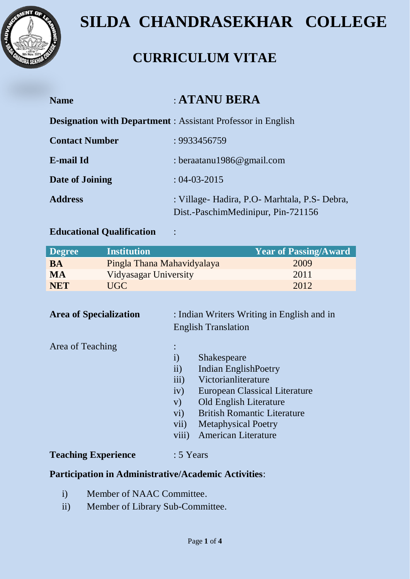

## **SILDA CHANDRASEKHAR COLLEGE**

### **CURRICULUM VITAE**

| <b>Name</b>           | : ATANU BERA                                                                        |
|-----------------------|-------------------------------------------------------------------------------------|
|                       | <b>Designation with Department</b> : Assistant Professor in English                 |
| <b>Contact Number</b> | : 9933456759                                                                        |
| E-mail Id             | : beraatanu1986@gmail.com                                                           |
| Date of Joining       | $: 04 - 03 - 2015$                                                                  |
| <b>Address</b>        | : Village- Hadira, P.O- Marhtala, P.S- Debra,<br>Dist.-PaschimMedinipur, Pin-721156 |

#### **Educational Qualification** :

| <b>Degree</b> | <b>Institution</b>         | <b>Year of Passing/Award</b> |
|---------------|----------------------------|------------------------------|
| <b>BA</b>     | Pingla Thana Mahavidyalaya | 2009                         |
| <b>MA</b>     | Vidyasagar University      | 2011                         |
| <b>NET</b>    | UGC                        | 2012                         |

| <b>Area of Specialization</b> | : Indian Writers Writing in English and in<br><b>English Translation</b> |                                                                                                                                                                                                                                                     |  |  |
|-------------------------------|--------------------------------------------------------------------------|-----------------------------------------------------------------------------------------------------------------------------------------------------------------------------------------------------------------------------------------------------|--|--|
| Area of Teaching              | $\rm i)$<br>ii)<br>iii)<br>iv)<br>V)<br>$\rm vi)$<br>vii)<br>viii)       | <b>Shakespeare</b><br><b>Indian EnglishPoetry</b><br>Victorianliterature<br><b>European Classical Literature</b><br><b>Old English Literature</b><br><b>British Romantic Literature</b><br><b>Metaphysical Poetry</b><br><b>American Literature</b> |  |  |
| <b>Teaching Experience</b>    | $: 5$ Years                                                              |                                                                                                                                                                                                                                                     |  |  |

### **Participation in Administrative/Academic Activities**:

- i) Member of NAAC Committee.
- ii) Member of Library Sub-Committee.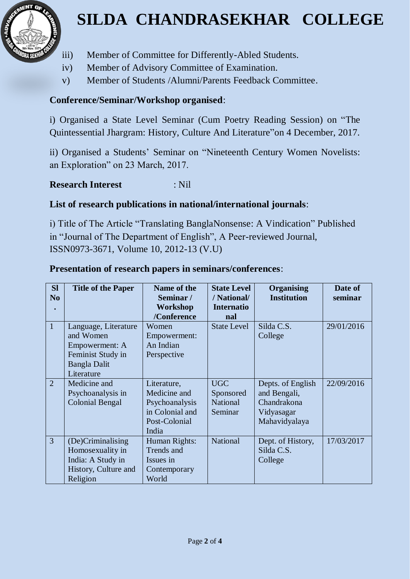

# **SILDA CHANDRASEKHAR COLLEGE**

- iii) Member of Committee for Differently-Abled Students.
- iv) Member of Advisory Committee of Examination.
- v) Member of Students /Alumni/Parents Feedback Committee.

### **Conference/Seminar/Workshop organised**:

i) Organised a State Level Seminar (Cum Poetry Reading Session) on "The Quintessential Jhargram: History, Culture And Literature"on 4 December, 2017.

ii) Organised a Students' Seminar on "Nineteenth Century Women Novelists: an Exploration" on 23 March, 2017.

### **Research Interest** : Nil

#### **List of research publications in national/international journals**:

i) Title of The Article "Translating BanglaNonsense: A Vindication" Published in "Journal of The Department of English", A Peer-reviewed Journal, ISSN0973-3671, Volume 10, 2012-13 (V.U)

| <b>SI</b><br>No | <b>Title of the Paper</b>                                                                                     | Name of the<br>Seminar/<br>Workshop<br>/Conference                                         | <b>State Level</b><br>/ National/<br><b>Internatio</b><br>nal | <b>Organising</b><br><b>Institution</b>                                         | Date of<br>seminar |
|-----------------|---------------------------------------------------------------------------------------------------------------|--------------------------------------------------------------------------------------------|---------------------------------------------------------------|---------------------------------------------------------------------------------|--------------------|
| $\mathbf{1}$    | Language, Literature<br>and Women<br>Empowerment: A<br>Feminist Study in<br><b>Bangla Dalit</b><br>Literature | Women<br>Empowerment:<br>An Indian<br>Perspective                                          | <b>State Level</b>                                            | Silda C.S.<br>College                                                           | 29/01/2016         |
| 2               | Medicine and<br>Psychoanalysis in<br><b>Colonial Bengal</b>                                                   | Literature,<br>Medicine and<br>Psychoanalysis<br>in Colonial and<br>Post-Colonial<br>India | <b>UGC</b><br>Sponsored<br><b>National</b><br>Seminar         | Depts. of English<br>and Bengali,<br>Chandrakona<br>Vidyasagar<br>Mahavidyalaya | 22/09/2016         |
| $\overline{3}$  | (De)Criminalising<br>Homosexuality in<br>India: A Study in<br>History, Culture and<br>Religion                | Human Rights:<br>Trends and<br>Issues in<br>Contemporary<br>World                          | <b>National</b>                                               | Dept. of History,<br>Silda C.S.<br>College                                      | 17/03/2017         |

#### **Presentation of research papers in seminars/conferences**: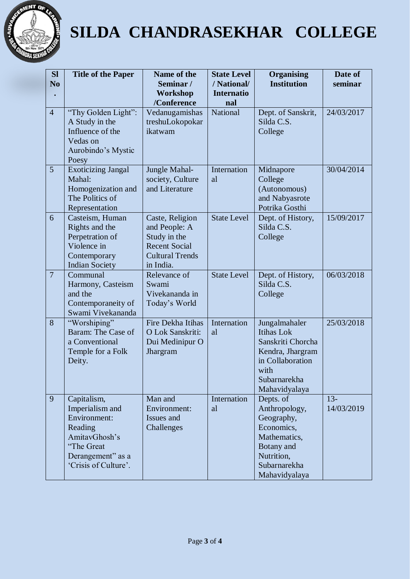

# **SILDA CHANDRASEKHAR COLLEGE**

| <b>SI</b><br>N <sub>o</sub> | <b>Title of the Paper</b>                                                                                                             | Name of the<br>Seminar/<br>Workshop<br>/Conference                                                              | <b>State Level</b><br>/ National/<br><b>Internatio</b><br>nal | <b>Organising</b><br><b>Institution</b>                                                                                                  | Date of<br>seminar   |
|-----------------------------|---------------------------------------------------------------------------------------------------------------------------------------|-----------------------------------------------------------------------------------------------------------------|---------------------------------------------------------------|------------------------------------------------------------------------------------------------------------------------------------------|----------------------|
| $\overline{4}$              | "Thy Golden Light":<br>A Study in the<br>Influence of the<br>Vedas on<br>Aurobindo's Mystic<br>Poesy                                  | Vedanugamishas<br>treshuLokopokar<br>ikatwam                                                                    | <b>National</b>                                               | Dept. of Sanskrit,<br>Silda C.S.<br>College                                                                                              | 24/03/2017           |
| 5                           | <b>Exoticizing Jangal</b><br>Mahal:<br>Homogenization and<br>The Politics of<br>Representation                                        | Jungle Mahal-<br>society, Culture<br>and Literature                                                             | Internation<br>al                                             | Midnapore<br>College<br>(Autonomous)<br>and Nabyasrote<br>Potrika Gosthi                                                                 | 30/04/2014           |
| 6                           | Casteism, Human<br>Rights and the<br>Perpetration of<br>Violence in<br>Contemporary<br><b>Indian Society</b>                          | Caste, Religion<br>and People: A<br>Study in the<br><b>Recent Social</b><br><b>Cultural Trends</b><br>in India. | <b>State Level</b>                                            | Dept. of History,<br>Silda C.S.<br>College                                                                                               | 15/09/2017           |
| $\overline{7}$              | Communal<br>Harmony, Casteism<br>and the<br>Contemporaneity of<br>Swami Vivekananda                                                   | Relevance of<br>Swami<br>Vivekananda in<br>Today's World                                                        | <b>State Level</b>                                            | Dept. of History,<br>Silda C.S.<br>College                                                                                               | 06/03/2018           |
| 8                           | "Worshiping"<br>Baram: The Case of<br>a Conventional<br>Temple for a Folk<br>Deity.                                                   | Fire Dekha Itihas<br>O Lok Sanskriti:<br>Dui Medinipur O<br>Jhargram                                            | Internation<br>al                                             | Jungalmahaler<br><b>Itihas Lok</b><br>Sanskriti Chorcha<br>Kendra, Jhargram<br>in Collaboration<br>with<br>Subarnarekha<br>Mahavidyalaya | 25/03/2018           |
| 9                           | Capitalism,<br>Imperialism and<br>Environment:<br>Reading<br>AmitavGhosh's<br>"The Great<br>Derangement" as a<br>'Crisis of Culture'. | Man and<br>Environment:<br>Issues and<br>Challenges                                                             | Internation<br>al                                             | Depts. of<br>Anthropology,<br>Geography,<br>Economics,<br>Mathematics,<br>Botany and<br>Nutrition,<br>Subarnarekha<br>Mahavidyalaya      | $13 -$<br>14/03/2019 |